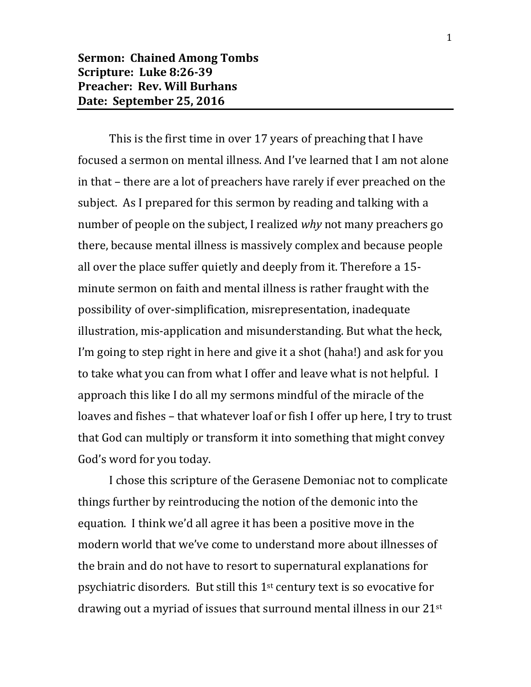This is the first time in over 17 years of preaching that I have focused a sermon on mental illness. And I've learned that I am not alone in that – there are a lot of preachers have rarely if ever preached on the subject. As I prepared for this sermon by reading and talking with a number of people on the subject, I realized *why* not many preachers go there, because mental illness is massively complex and because people all over the place suffer quietly and deeply from it. Therefore a 15 minute sermon on faith and mental illness is rather fraught with the possibility of over-simplification, misrepresentation, inadequate illustration, mis-application and misunderstanding. But what the heck, I'm going to step right in here and give it a shot (haha!) and ask for you to take what you can from what I offer and leave what is not helpful. I approach this like I do all my sermons mindful of the miracle of the loaves and fishes – that whatever loaf or fish I offer up here, I try to trust that God can multiply or transform it into something that might convey God's word for you today.

I chose this scripture of the Gerasene Demoniac not to complicate things further by reintroducing the notion of the demonic into the equation. I think we'd all agree it has been a positive move in the modern world that we've come to understand more about illnesses of the brain and do not have to resort to supernatural explanations for psychiatric disorders. But still this  $1<sup>st</sup>$  century text is so evocative for drawing out a myriad of issues that surround mental illness in our 21st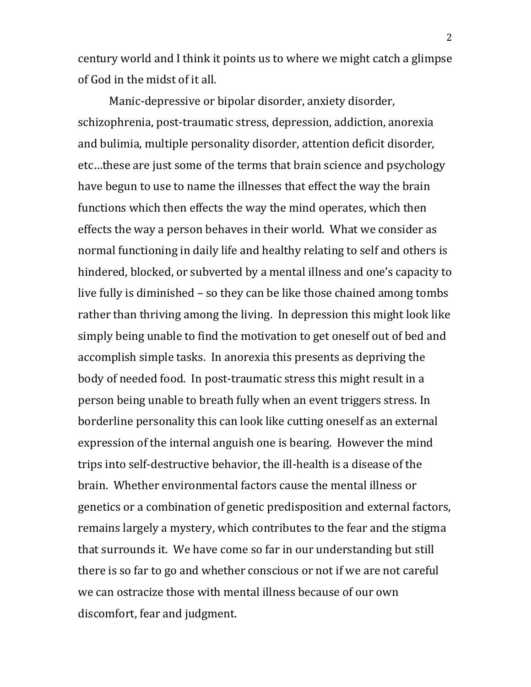century world and I think it points us to where we might catch a glimpse of God in the midst of it all.

Manic-depressive or bipolar disorder, anxiety disorder, schizophrenia, post-traumatic stress, depression, addiction, anorexia and bulimia, multiple personality disorder, attention deficit disorder, etc…these are just some of the terms that brain science and psychology have begun to use to name the illnesses that effect the way the brain functions which then effects the way the mind operates, which then effects the way a person behaves in their world. What we consider as normal functioning in daily life and healthy relating to self and others is hindered, blocked, or subverted by a mental illness and one's capacity to live fully is diminished – so they can be like those chained among tombs rather than thriving among the living. In depression this might look like simply being unable to find the motivation to get oneself out of bed and accomplish simple tasks. In anorexia this presents as depriving the body of needed food. In post-traumatic stress this might result in a person being unable to breath fully when an event triggers stress. In borderline personality this can look like cutting oneself as an external expression of the internal anguish one is bearing. However the mind trips into self-destructive behavior, the ill-health is a disease of the brain. Whether environmental factors cause the mental illness or genetics or a combination of genetic predisposition and external factors, remains largely a mystery, which contributes to the fear and the stigma that surrounds it. We have come so far in our understanding but still there is so far to go and whether conscious or not if we are not careful we can ostracize those with mental illness because of our own discomfort, fear and judgment.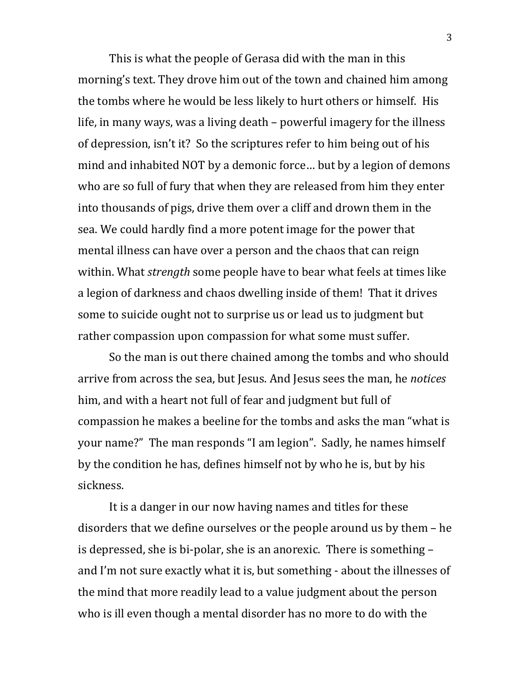This is what the people of Gerasa did with the man in this morning's text. They drove him out of the town and chained him among the tombs where he would be less likely to hurt others or himself. His life, in many ways, was a living death – powerful imagery for the illness of depression, isn't it? So the scriptures refer to him being out of his mind and inhabited NOT by a demonic force… but by a legion of demons who are so full of fury that when they are released from him they enter into thousands of pigs, drive them over a cliff and drown them in the sea. We could hardly find a more potent image for the power that mental illness can have over a person and the chaos that can reign within. What *strength* some people have to bear what feels at times like a legion of darkness and chaos dwelling inside of them! That it drives some to suicide ought not to surprise us or lead us to judgment but rather compassion upon compassion for what some must suffer.

So the man is out there chained among the tombs and who should arrive from across the sea, but Jesus. And Jesus sees the man, he *notices* him, and with a heart not full of fear and judgment but full of compassion he makes a beeline for the tombs and asks the man "what is your name?" The man responds "I am legion". Sadly, he names himself by the condition he has, defines himself not by who he is, but by his sickness.

It is a danger in our now having names and titles for these disorders that we define ourselves or the people around us by them – he is depressed, she is bi-polar, she is an anorexic. There is something – and I'm not sure exactly what it is, but something - about the illnesses of the mind that more readily lead to a value judgment about the person who is ill even though a mental disorder has no more to do with the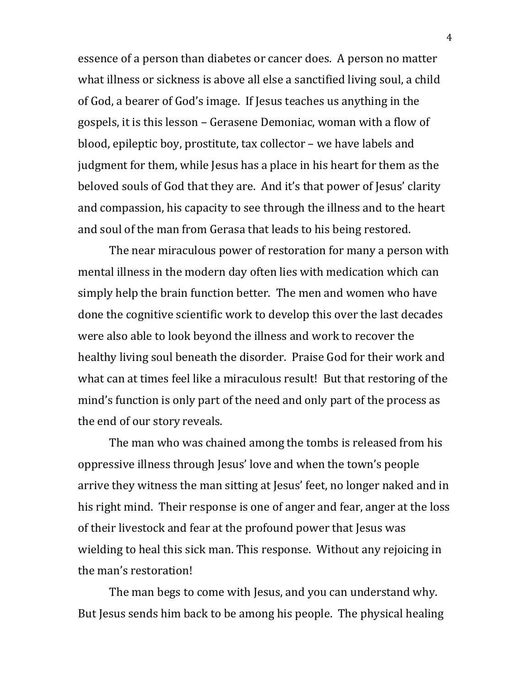essence of a person than diabetes or cancer does. A person no matter what illness or sickness is above all else a sanctified living soul, a child of God, a bearer of God's image. If Jesus teaches us anything in the gospels, it is this lesson – Gerasene Demoniac, woman with a flow of blood, epileptic boy, prostitute, tax collector – we have labels and judgment for them, while Jesus has a place in his heart for them as the beloved souls of God that they are. And it's that power of Jesus' clarity and compassion, his capacity to see through the illness and to the heart and soul of the man from Gerasa that leads to his being restored.

The near miraculous power of restoration for many a person with mental illness in the modern day often lies with medication which can simply help the brain function better. The men and women who have done the cognitive scientific work to develop this over the last decades were also able to look beyond the illness and work to recover the healthy living soul beneath the disorder. Praise God for their work and what can at times feel like a miraculous result! But that restoring of the mind's function is only part of the need and only part of the process as the end of our story reveals.

The man who was chained among the tombs is released from his oppressive illness through Jesus' love and when the town's people arrive they witness the man sitting at Jesus' feet, no longer naked and in his right mind. Their response is one of anger and fear, anger at the loss of their livestock and fear at the profound power that Jesus was wielding to heal this sick man. This response. Without any rejoicing in the man's restoration!

The man begs to come with Jesus, and you can understand why. But Jesus sends him back to be among his people. The physical healing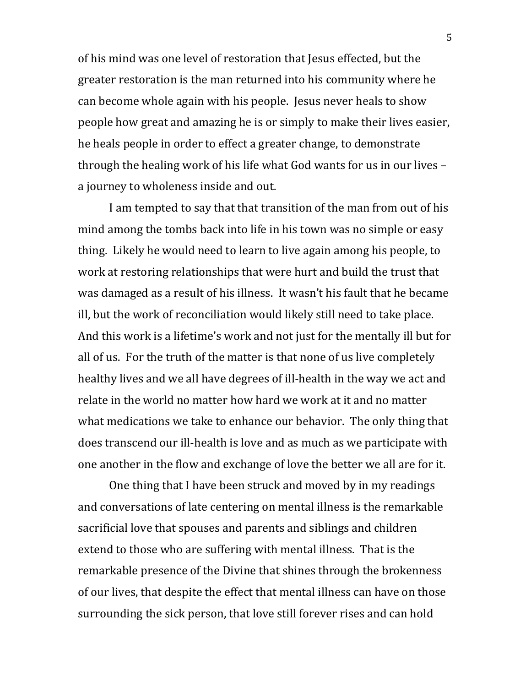of his mind was one level of restoration that Jesus effected, but the greater restoration is the man returned into his community where he can become whole again with his people. Jesus never heals to show people how great and amazing he is or simply to make their lives easier, he heals people in order to effect a greater change, to demonstrate through the healing work of his life what God wants for us in our lives – a journey to wholeness inside and out.

I am tempted to say that that transition of the man from out of his mind among the tombs back into life in his town was no simple or easy thing. Likely he would need to learn to live again among his people, to work at restoring relationships that were hurt and build the trust that was damaged as a result of his illness. It wasn't his fault that he became ill, but the work of reconciliation would likely still need to take place. And this work is a lifetime's work and not just for the mentally ill but for all of us. For the truth of the matter is that none of us live completely healthy lives and we all have degrees of ill-health in the way we act and relate in the world no matter how hard we work at it and no matter what medications we take to enhance our behavior. The only thing that does transcend our ill-health is love and as much as we participate with one another in the flow and exchange of love the better we all are for it.

One thing that I have been struck and moved by in my readings and conversations of late centering on mental illness is the remarkable sacrificial love that spouses and parents and siblings and children extend to those who are suffering with mental illness. That is the remarkable presence of the Divine that shines through the brokenness of our lives, that despite the effect that mental illness can have on those surrounding the sick person, that love still forever rises and can hold